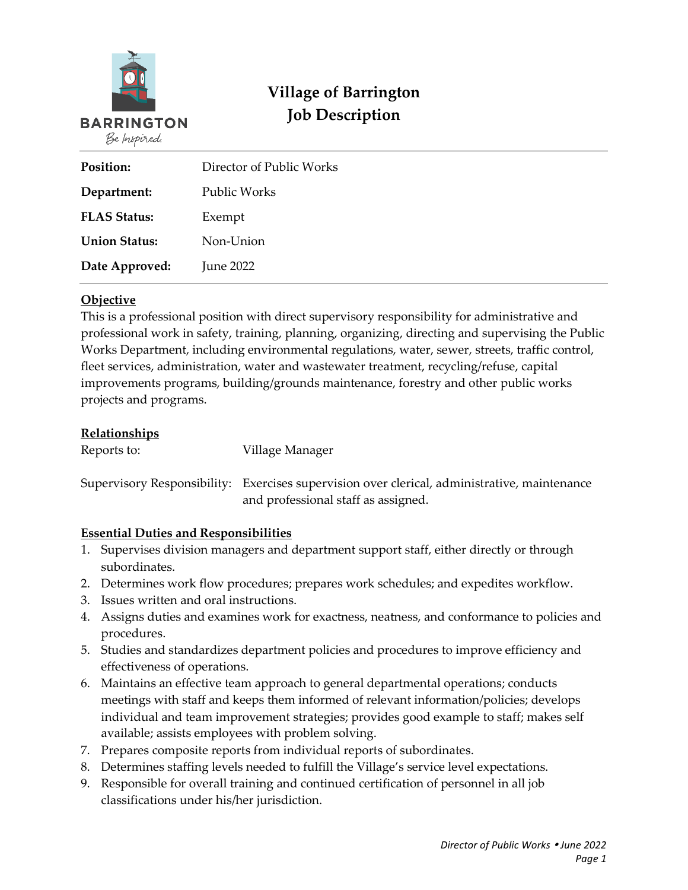

# **Village of Barrington Job Description**

| Position:            | Director of Public Works |  |
|----------------------|--------------------------|--|
| Department:          | <b>Public Works</b>      |  |
| <b>FLAS Status:</b>  | Exempt                   |  |
| <b>Union Status:</b> | Non-Union                |  |
| Date Approved:       | <b>June 2022</b>         |  |

## **Objective**

This is a professional position with direct supervisory responsibility for administrative and professional work in safety, training, planning, organizing, directing and supervising the Public Works Department, including environmental regulations, water, sewer, streets, traffic control, fleet services, administration, water and wastewater treatment, recycling/refuse, capital improvements programs, building/grounds maintenance, forestry and other public works projects and programs.

#### **Relationships**

| Reports to: | Village Manager                                                                                                                     |
|-------------|-------------------------------------------------------------------------------------------------------------------------------------|
|             | Supervisory Responsibility: Exercises supervision over clerical, administrative, maintenance<br>and professional staff as assigned. |

# **Essential Duties and Responsibilities**

- 1. Supervises division managers and department support staff, either directly or through subordinates.
- 2. Determines work flow procedures; prepares work schedules; and expedites workflow.
- 3. Issues written and oral instructions.
- 4. Assigns duties and examines work for exactness, neatness, and conformance to policies and procedures.
- 5. Studies and standardizes department policies and procedures to improve efficiency and effectiveness of operations.
- 6. Maintains an effective team approach to general departmental operations; conducts meetings with staff and keeps them informed of relevant information/policies; develops individual and team improvement strategies; provides good example to staff; makes self available; assists employees with problem solving.
- 7. Prepares composite reports from individual reports of subordinates.
- 8. Determines staffing levels needed to fulfill the Village's service level expectations.
- 9. Responsible for overall training and continued certification of personnel in all job classifications under his/her jurisdiction.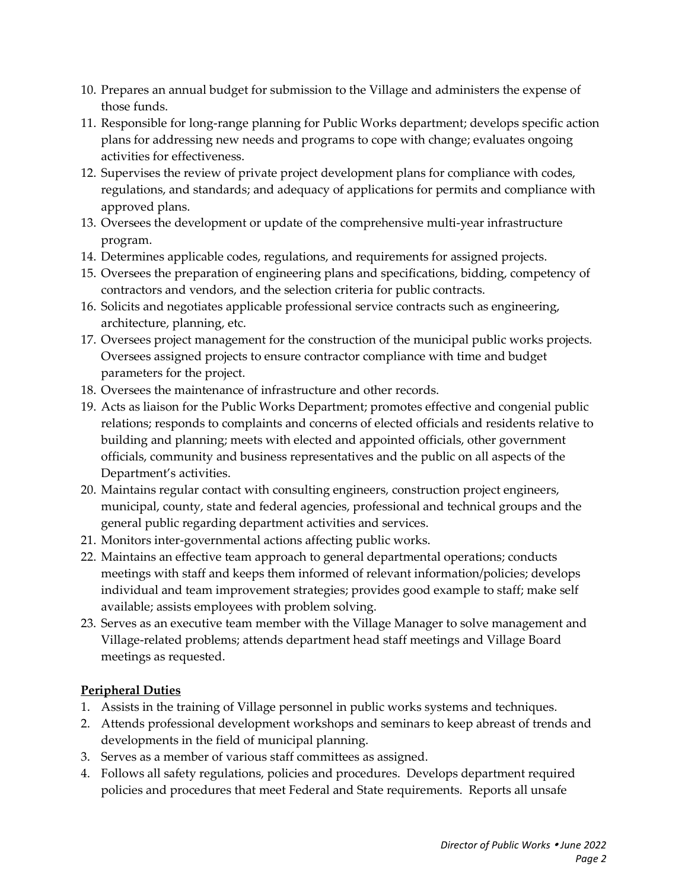- 10. Prepares an annual budget for submission to the Village and administers the expense of those funds.
- 11. Responsible for long-range planning for Public Works department; develops specific action plans for addressing new needs and programs to cope with change; evaluates ongoing activities for effectiveness.
- 12. Supervises the review of private project development plans for compliance with codes, regulations, and standards; and adequacy of applications for permits and compliance with approved plans.
- 13. Oversees the development or update of the comprehensive multi-year infrastructure program.
- 14. Determines applicable codes, regulations, and requirements for assigned projects.
- 15. Oversees the preparation of engineering plans and specifications, bidding, competency of contractors and vendors, and the selection criteria for public contracts.
- 16. Solicits and negotiates applicable professional service contracts such as engineering, architecture, planning, etc.
- 17. Oversees project management for the construction of the municipal public works projects. Oversees assigned projects to ensure contractor compliance with time and budget parameters for the project.
- 18. Oversees the maintenance of infrastructure and other records.
- 19. Acts as liaison for the Public Works Department; promotes effective and congenial public relations; responds to complaints and concerns of elected officials and residents relative to building and planning; meets with elected and appointed officials, other government officials, community and business representatives and the public on all aspects of the Department's activities.
- 20. Maintains regular contact with consulting engineers, construction project engineers, municipal, county, state and federal agencies, professional and technical groups and the general public regarding department activities and services.
- 21. Monitors inter-governmental actions affecting public works.
- 22. Maintains an effective team approach to general departmental operations; conducts meetings with staff and keeps them informed of relevant information/policies; develops individual and team improvement strategies; provides good example to staff; make self available; assists employees with problem solving.
- 23. Serves as an executive team member with the Village Manager to solve management and Village-related problems; attends department head staff meetings and Village Board meetings as requested.

# **Peripheral Duties**

- 1. Assists in the training of Village personnel in public works systems and techniques.
- 2. Attends professional development workshops and seminars to keep abreast of trends and developments in the field of municipal planning.
- 3. Serves as a member of various staff committees as assigned.
- 4. Follows all safety regulations, policies and procedures. Develops department required policies and procedures that meet Federal and State requirements. Reports all unsafe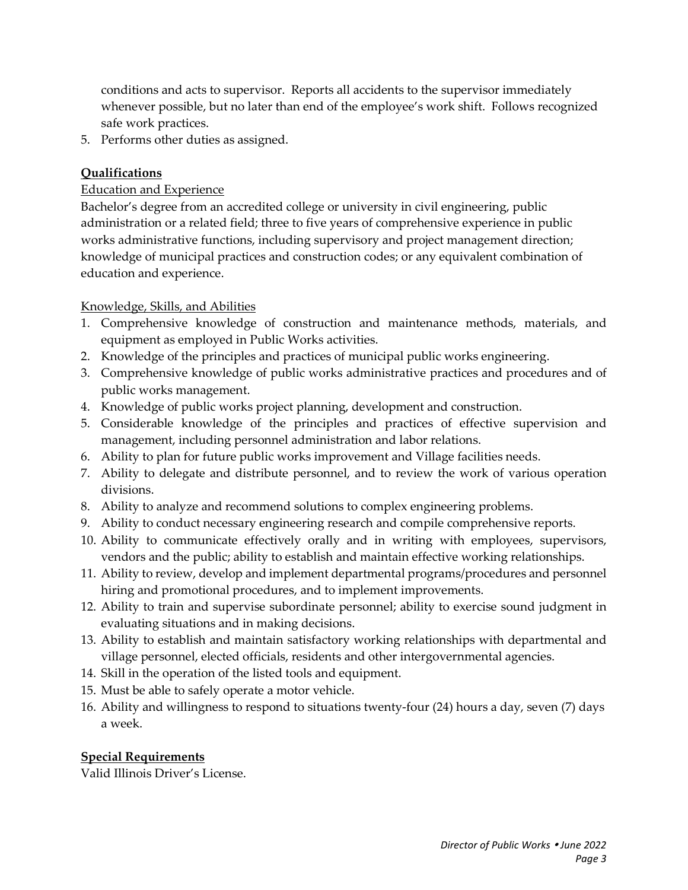conditions and acts to supervisor. Reports all accidents to the supervisor immediately whenever possible, but no later than end of the employee's work shift. Follows recognized safe work practices.

5. Performs other duties as assigned.

# **Qualifications**

#### Education and Experience

Bachelor's degree from an accredited college or university in civil engineering, public administration or a related field; three to five years of comprehensive experience in public works administrative functions, including supervisory and project management direction; knowledge of municipal practices and construction codes; or any equivalent combination of education and experience.

## Knowledge, Skills, and Abilities

- 1. Comprehensive knowledge of construction and maintenance methods, materials, and equipment as employed in Public Works activities.
- 2. Knowledge of the principles and practices of municipal public works engineering.
- 3. Comprehensive knowledge of public works administrative practices and procedures and of public works management.
- 4. Knowledge of public works project planning, development and construction.
- 5. Considerable knowledge of the principles and practices of effective supervision and management, including personnel administration and labor relations.
- 6. Ability to plan for future public works improvement and Village facilities needs.
- 7. Ability to delegate and distribute personnel, and to review the work of various operation divisions.
- 8. Ability to analyze and recommend solutions to complex engineering problems.
- 9. Ability to conduct necessary engineering research and compile comprehensive reports.
- 10. Ability to communicate effectively orally and in writing with employees, supervisors, vendors and the public; ability to establish and maintain effective working relationships.
- 11. Ability to review, develop and implement departmental programs/procedures and personnel hiring and promotional procedures, and to implement improvements.
- 12. Ability to train and supervise subordinate personnel; ability to exercise sound judgment in evaluating situations and in making decisions.
- 13. Ability to establish and maintain satisfactory working relationships with departmental and village personnel, elected officials, residents and other intergovernmental agencies.
- 14. Skill in the operation of the listed tools and equipment.
- 15. Must be able to safely operate a motor vehicle.
- 16. Ability and willingness to respond to situations twenty-four (24) hours a day, seven (7) days a week.

# **Special Requirements**

Valid Illinois Driver's License.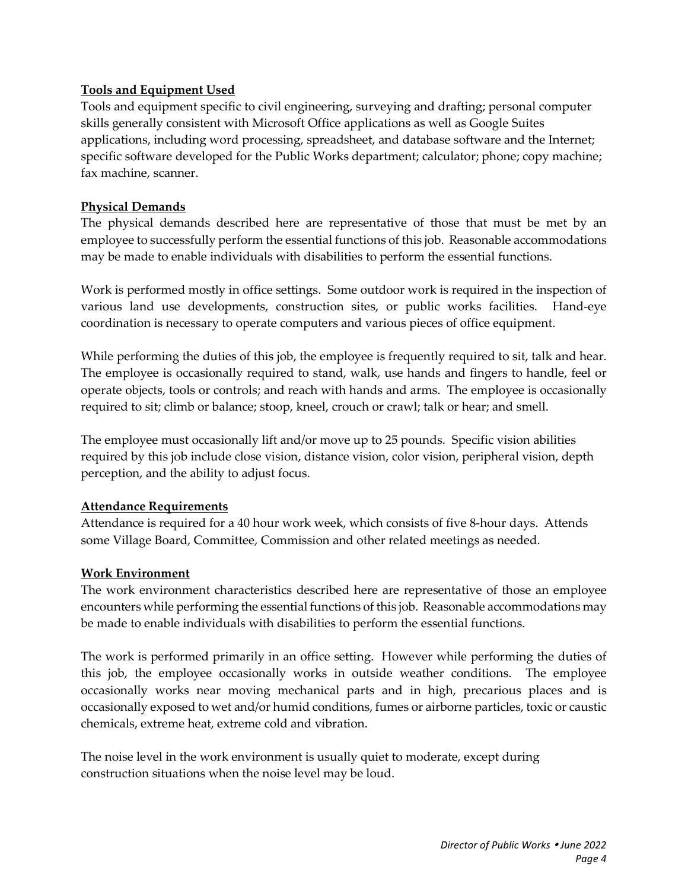#### **Tools and Equipment Used**

Tools and equipment specific to civil engineering, surveying and drafting; personal computer skills generally consistent with Microsoft Office applications as well as Google Suites applications, including word processing, spreadsheet, and database software and the Internet; specific software developed for the Public Works department; calculator; phone; copy machine; fax machine, scanner.

#### **Physical Demands**

The physical demands described here are representative of those that must be met by an employee to successfully perform the essential functions of this job. Reasonable accommodations may be made to enable individuals with disabilities to perform the essential functions.

Work is performed mostly in office settings. Some outdoor work is required in the inspection of various land use developments, construction sites, or public works facilities. Hand-eye coordination is necessary to operate computers and various pieces of office equipment.

While performing the duties of this job, the employee is frequently required to sit, talk and hear. The employee is occasionally required to stand, walk, use hands and fingers to handle, feel or operate objects, tools or controls; and reach with hands and arms. The employee is occasionally required to sit; climb or balance; stoop, kneel, crouch or crawl; talk or hear; and smell.

The employee must occasionally lift and/or move up to 25 pounds. Specific vision abilities required by this job include close vision, distance vision, color vision, peripheral vision, depth perception, and the ability to adjust focus.

#### **Attendance Requirements**

Attendance is required for a 40 hour work week, which consists of five 8-hour days. Attends some Village Board, Committee, Commission and other related meetings as needed.

#### **Work Environment**

The work environment characteristics described here are representative of those an employee encounters while performing the essential functions of this job. Reasonable accommodations may be made to enable individuals with disabilities to perform the essential functions.

The work is performed primarily in an office setting. However while performing the duties of this job, the employee occasionally works in outside weather conditions. The employee occasionally works near moving mechanical parts and in high, precarious places and is occasionally exposed to wet and/or humid conditions, fumes or airborne particles, toxic or caustic chemicals, extreme heat, extreme cold and vibration.

The noise level in the work environment is usually quiet to moderate, except during construction situations when the noise level may be loud.